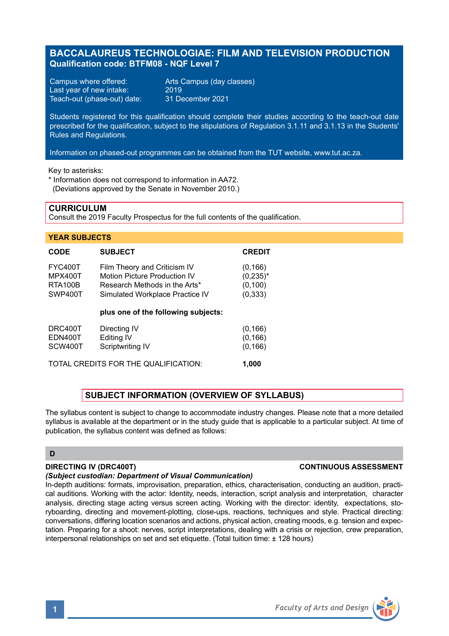# **BACCALAUREUS TECHNOLOGIAE: FILM AND TELEVISION PRODUCTION Qualification code: BTFM08 - NQF Level 7**

Campus where offered: <br>
Last vear of new intake: 2019 Last year of new intake: 2019<br>Teach-out (phase-out) date: 31 December 2021 Teach-out (phase-out) date:

Students registered for this qualification should complete their studies according to the teach-out date prescribed for the qualification, subject to the stipulations of Regulation 3.1.11 and 3.1.13 in the Students' Rules and Regulations.

Information on phased-out programmes can be obtained from the TUT website, www.tut.ac.za.

Key to asterisks:

\* Information does not correspond to information in AA72.

(Deviations approved by the Senate in November 2010.)

### **CURRICULUM**

Consult the 2019 Faculty Prospectus for the full contents of the qualification.

#### **YEAR SUBJECTS**

| <b>CODE</b>    | <b>SUBJECT</b>                      | <b>CREDIT</b> |
|----------------|-------------------------------------|---------------|
| <b>FYC400T</b> | Film Theory and Criticism IV        | (0, 166)      |
| <b>MPX400T</b> | Motion Picture Production IV        | $(0, 235)^*$  |
| <b>RTA100B</b> | Research Methods in the Arts*       | (0, 100)      |
| SWP400T        | Simulated Workplace Practice IV     | (0, 333)      |
|                | plus one of the following subjects: |               |
| DRC400T        | Directing IV                        | (0, 166)      |
| EDN400T        | Editing IV                          | (0, 166)      |
| SCW400T        | Scriptwriting IV                    | (0, 166)      |

TOTAL CREDITS FOR THE QUALIFICATION: **1,000**

# **SUBJECT INFORMATION (OVERVIEW OF SYLLABUS)**

The syllabus content is subject to change to accommodate industry changes. Please note that a more detailed syllabus is available at the department or in the study guide that is applicable to a particular subject. At time of publication, the syllabus content was defined as follows:

#### **D**

## **DIRECTING IV (DRC400T) CONTINUOUS ASSESSMENT**

## *(Subject custodian: Department of Visual Communication)*

In-depth auditions: formats, improvisation, preparation, ethics, characterisation, conducting an audition, practical auditions. Working with the actor: Identity, needs, interaction, script analysis and interpretation, character analysis, directing stage acting versus screen acting. Working with the director: identity, expectations, storyboarding, directing and movement-plotting, close-ups, reactions, techniques and style. Practical directing: conversations, differing location scenarios and actions, physical action, creating moods, e.g. tension and expectation. Preparing for a shoot: nerves, script interpretations, dealing with a crisis or rejection, crew preparation, interpersonal relationships on set and set etiquette. (Total tuition time: ± 128 hours)